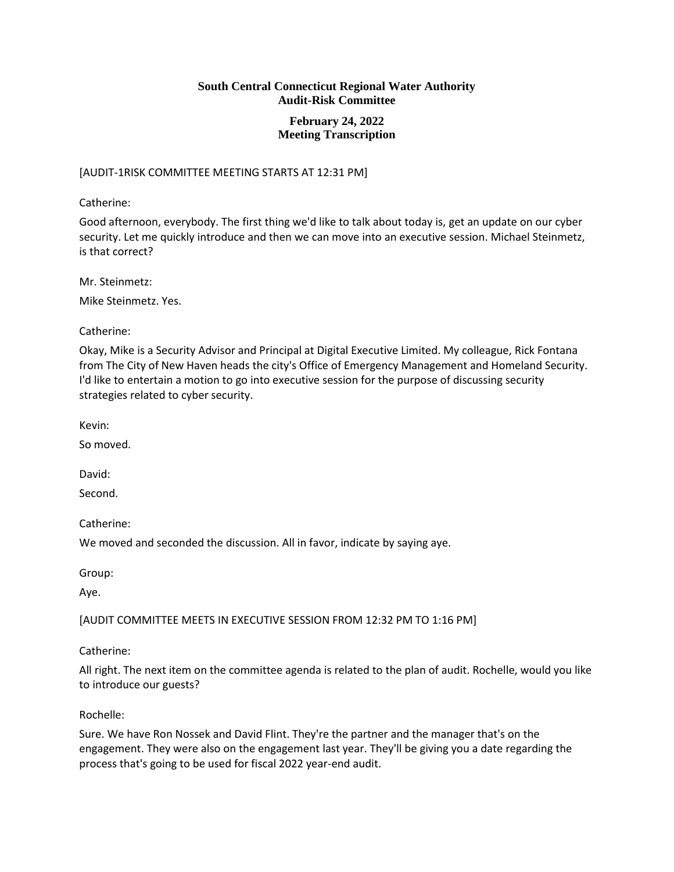## **February 24, 2022 Meeting Transcription**

## [AUDIT-1RISK COMMITTEE MEETING STARTS AT 12:31 PM]

Catherine:

Good afternoon, everybody. The first thing we'd like to talk about today is, get an update on our cyber security. Let me quickly introduce and then we can move into an executive session. Michael Steinmetz, is that correct?

Mr. Steinmetz:

Mike Steinmetz. Yes.

Catherine:

Okay, Mike is a Security Advisor and Principal at Digital Executive Limited. My colleague, Rick Fontana from The City of New Haven heads the city's Office of Emergency Management and Homeland Security. I'd like to entertain a motion to go into executive session for the purpose of discussing security strategies related to cyber security.

Kevin:

So moved.

David:

Second.

Catherine:

We moved and seconded the discussion. All in favor, indicate by saying aye.

Group:

Aye.

[AUDIT COMMITTEE MEETS IN EXECUTIVE SESSION FROM 12:32 PM TO 1:16 PM]

Catherine:

All right. The next item on the committee agenda is related to the plan of audit. Rochelle, would you like to introduce our guests?

Rochelle:

Sure. We have Ron Nossek and David Flint. They're the partner and the manager that's on the engagement. They were also on the engagement last year. They'll be giving you a date regarding the process that's going to be used for fiscal 2022 year-end audit.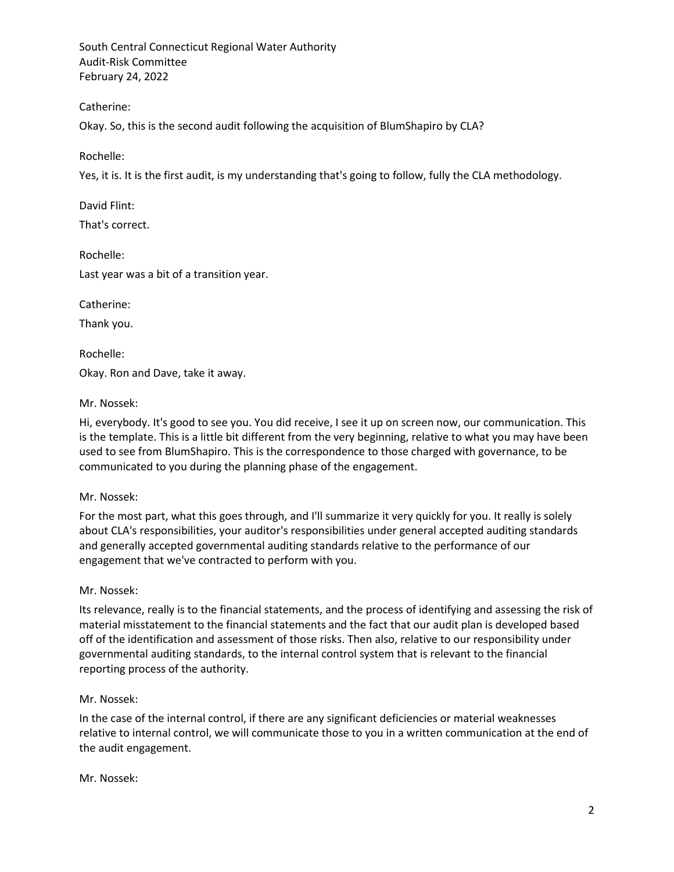Catherine:

Okay. So, this is the second audit following the acquisition of BlumShapiro by CLA?

Rochelle:

Yes, it is. It is the first audit, is my understanding that's going to follow, fully the CLA methodology.

David Flint:

That's correct.

Rochelle:

Last year was a bit of a transition year.

Catherine:

Thank you.

Rochelle:

Okay. Ron and Dave, take it away.

## Mr. Nossek:

Hi, everybody. It's good to see you. You did receive, I see it up on screen now, our communication. This is the template. This is a little bit different from the very beginning, relative to what you may have been used to see from BlumShapiro. This is the correspondence to those charged with governance, to be communicated to you during the planning phase of the engagement.

# Mr. Nossek:

For the most part, what this goes through, and I'll summarize it very quickly for you. It really is solely about CLA's responsibilities, your auditor's responsibilities under general accepted auditing standards and generally accepted governmental auditing standards relative to the performance of our engagement that we've contracted to perform with you.

### Mr. Nossek:

Its relevance, really is to the financial statements, and the process of identifying and assessing the risk of material misstatement to the financial statements and the fact that our audit plan is developed based off of the identification and assessment of those risks. Then also, relative to our responsibility under governmental auditing standards, to the internal control system that is relevant to the financial reporting process of the authority.

# Mr. Nossek:

In the case of the internal control, if there are any significant deficiencies or material weaknesses relative to internal control, we will communicate those to you in a written communication at the end of the audit engagement.

### Mr. Nossek: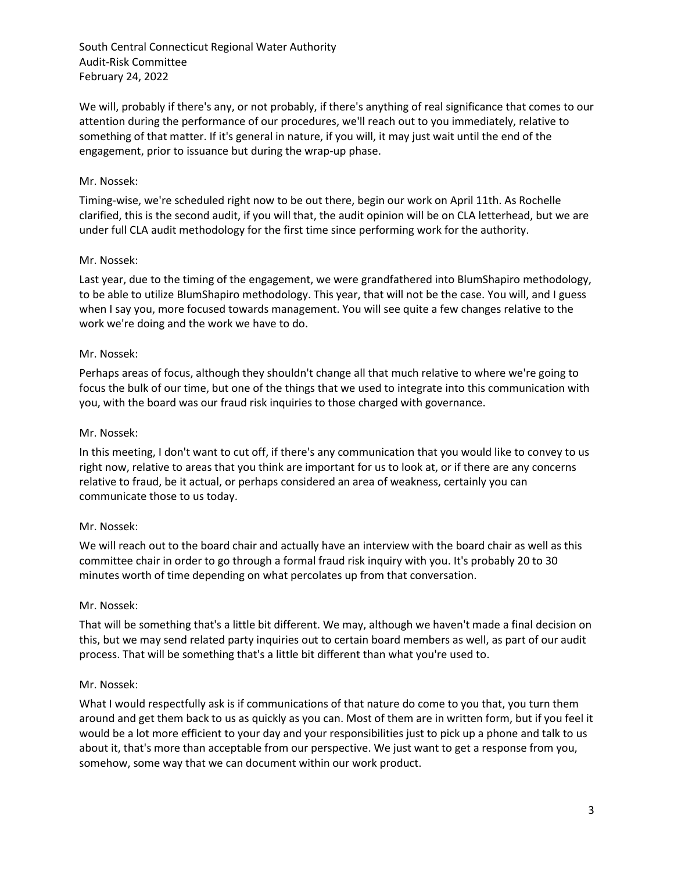We will, probably if there's any, or not probably, if there's anything of real significance that comes to our attention during the performance of our procedures, we'll reach out to you immediately, relative to something of that matter. If it's general in nature, if you will, it may just wait until the end of the engagement, prior to issuance but during the wrap-up phase.

## Mr. Nossek:

Timing-wise, we're scheduled right now to be out there, begin our work on April 11th. As Rochelle clarified, this is the second audit, if you will that, the audit opinion will be on CLA letterhead, but we are under full CLA audit methodology for the first time since performing work for the authority.

## Mr. Nossek:

Last year, due to the timing of the engagement, we were grandfathered into BlumShapiro methodology, to be able to utilize BlumShapiro methodology. This year, that will not be the case. You will, and I guess when I say you, more focused towards management. You will see quite a few changes relative to the work we're doing and the work we have to do.

## Mr. Nossek:

Perhaps areas of focus, although they shouldn't change all that much relative to where we're going to focus the bulk of our time, but one of the things that we used to integrate into this communication with you, with the board was our fraud risk inquiries to those charged with governance.

## Mr. Nossek:

In this meeting, I don't want to cut off, if there's any communication that you would like to convey to us right now, relative to areas that you think are important for us to look at, or if there are any concerns relative to fraud, be it actual, or perhaps considered an area of weakness, certainly you can communicate those to us today.

### Mr. Nossek:

We will reach out to the board chair and actually have an interview with the board chair as well as this committee chair in order to go through a formal fraud risk inquiry with you. It's probably 20 to 30 minutes worth of time depending on what percolates up from that conversation.

### Mr. Nossek:

That will be something that's a little bit different. We may, although we haven't made a final decision on this, but we may send related party inquiries out to certain board members as well, as part of our audit process. That will be something that's a little bit different than what you're used to.

### Mr. Nossek:

What I would respectfully ask is if communications of that nature do come to you that, you turn them around and get them back to us as quickly as you can. Most of them are in written form, but if you feel it would be a lot more efficient to your day and your responsibilities just to pick up a phone and talk to us about it, that's more than acceptable from our perspective. We just want to get a response from you, somehow, some way that we can document within our work product.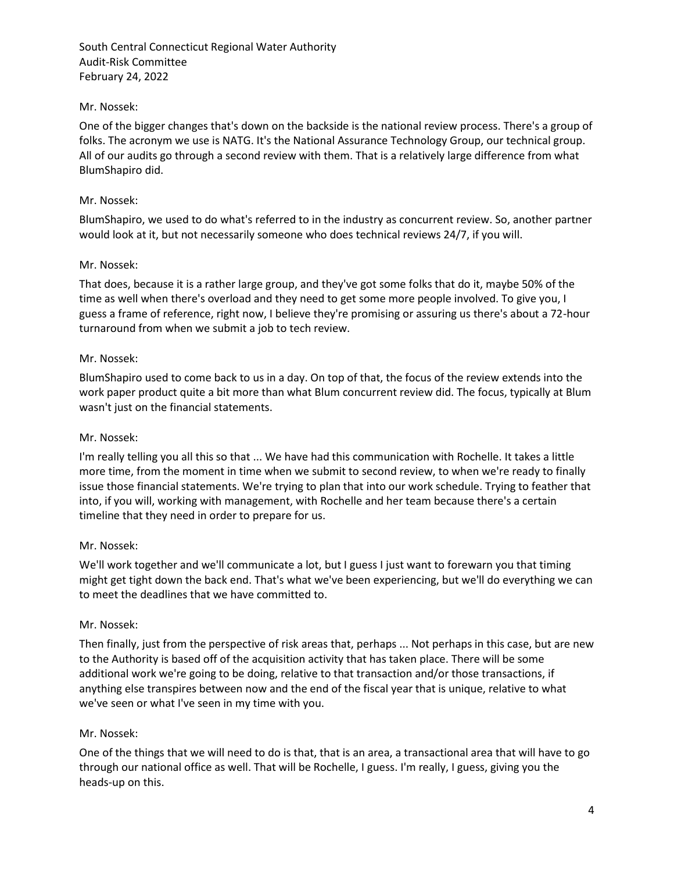## Mr. Nossek:

One of the bigger changes that's down on the backside is the national review process. There's a group of folks. The acronym we use is NATG. It's the National Assurance Technology Group, our technical group. All of our audits go through a second review with them. That is a relatively large difference from what BlumShapiro did.

## Mr. Nossek:

BlumShapiro, we used to do what's referred to in the industry as concurrent review. So, another partner would look at it, but not necessarily someone who does technical reviews 24/7, if you will.

## Mr. Nossek:

That does, because it is a rather large group, and they've got some folks that do it, maybe 50% of the time as well when there's overload and they need to get some more people involved. To give you, I guess a frame of reference, right now, I believe they're promising or assuring us there's about a 72-hour turnaround from when we submit a job to tech review.

## Mr. Nossek:

BlumShapiro used to come back to us in a day. On top of that, the focus of the review extends into the work paper product quite a bit more than what Blum concurrent review did. The focus, typically at Blum wasn't just on the financial statements.

### Mr. Nossek:

I'm really telling you all this so that ... We have had this communication with Rochelle. It takes a little more time, from the moment in time when we submit to second review, to when we're ready to finally issue those financial statements. We're trying to plan that into our work schedule. Trying to feather that into, if you will, working with management, with Rochelle and her team because there's a certain timeline that they need in order to prepare for us.

### Mr. Nossek:

We'll work together and we'll communicate a lot, but I guess I just want to forewarn you that timing might get tight down the back end. That's what we've been experiencing, but we'll do everything we can to meet the deadlines that we have committed to.

### Mr. Nossek:

Then finally, just from the perspective of risk areas that, perhaps ... Not perhaps in this case, but are new to the Authority is based off of the acquisition activity that has taken place. There will be some additional work we're going to be doing, relative to that transaction and/or those transactions, if anything else transpires between now and the end of the fiscal year that is unique, relative to what we've seen or what I've seen in my time with you.

### Mr. Nossek:

One of the things that we will need to do is that, that is an area, a transactional area that will have to go through our national office as well. That will be Rochelle, I guess. I'm really, I guess, giving you the heads-up on this.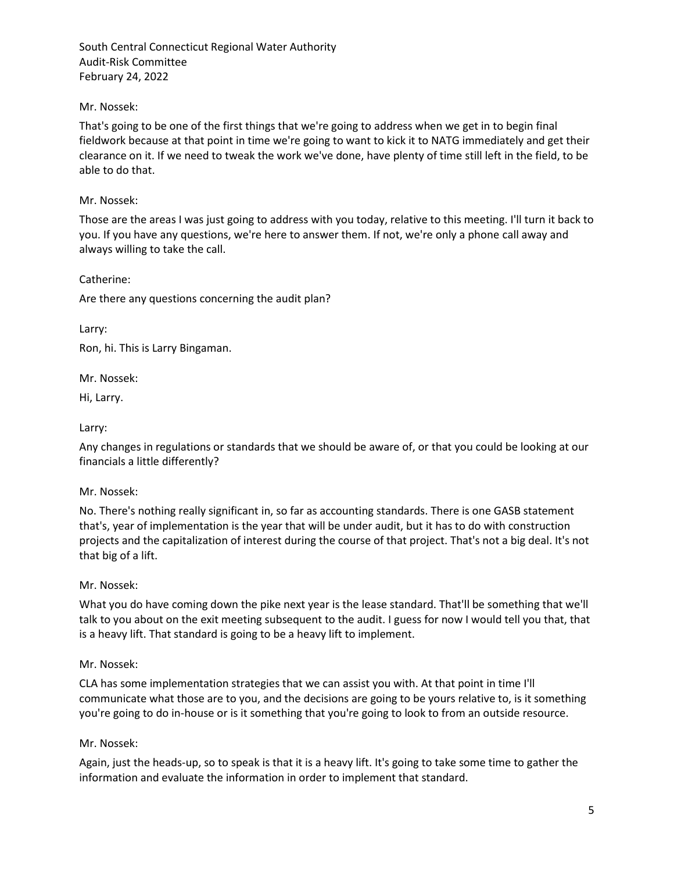## Mr. Nossek:

That's going to be one of the first things that we're going to address when we get in to begin final fieldwork because at that point in time we're going to want to kick it to NATG immediately and get their clearance on it. If we need to tweak the work we've done, have plenty of time still left in the field, to be able to do that.

## Mr. Nossek:

Those are the areas I was just going to address with you today, relative to this meeting. I'll turn it back to you. If you have any questions, we're here to answer them. If not, we're only a phone call away and always willing to take the call.

Catherine:

Are there any questions concerning the audit plan?

Larry:

Ron, hi. This is Larry Bingaman.

Mr. Nossek:

Hi, Larry.

## Larry:

Any changes in regulations or standards that we should be aware of, or that you could be looking at our financials a little differently?

### Mr. Nossek:

No. There's nothing really significant in, so far as accounting standards. There is one GASB statement that's, year of implementation is the year that will be under audit, but it has to do with construction projects and the capitalization of interest during the course of that project. That's not a big deal. It's not that big of a lift.

### Mr. Nossek:

What you do have coming down the pike next year is the lease standard. That'll be something that we'll talk to you about on the exit meeting subsequent to the audit. I guess for now I would tell you that, that is a heavy lift. That standard is going to be a heavy lift to implement.

### Mr. Nossek:

CLA has some implementation strategies that we can assist you with. At that point in time I'll communicate what those are to you, and the decisions are going to be yours relative to, is it something you're going to do in-house or is it something that you're going to look to from an outside resource.

### Mr. Nossek:

Again, just the heads-up, so to speak is that it is a heavy lift. It's going to take some time to gather the information and evaluate the information in order to implement that standard.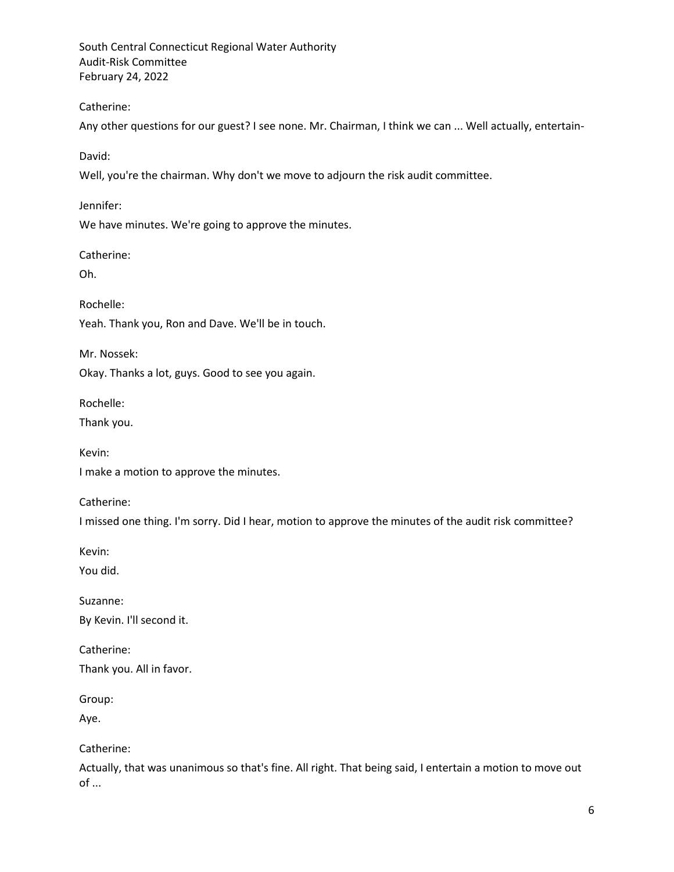Catherine:

Any other questions for our guest? I see none. Mr. Chairman, I think we can ... Well actually, entertain-

David:

Well, you're the chairman. Why don't we move to adjourn the risk audit committee.

Jennifer:

We have minutes. We're going to approve the minutes.

Catherine:

Oh.

Rochelle:

Yeah. Thank you, Ron and Dave. We'll be in touch.

Mr. Nossek: Okay. Thanks a lot, guys. Good to see you again.

Rochelle:

Thank you.

Kevin:

I make a motion to approve the minutes.

Catherine:

I missed one thing. I'm sorry. Did I hear, motion to approve the minutes of the audit risk committee?

Kevin:

You did.

Suzanne: By Kevin. I'll second it.

Catherine: Thank you. All in favor.

Group:

Aye.

Catherine:

Actually, that was unanimous so that's fine. All right. That being said, I entertain a motion to move out of ...